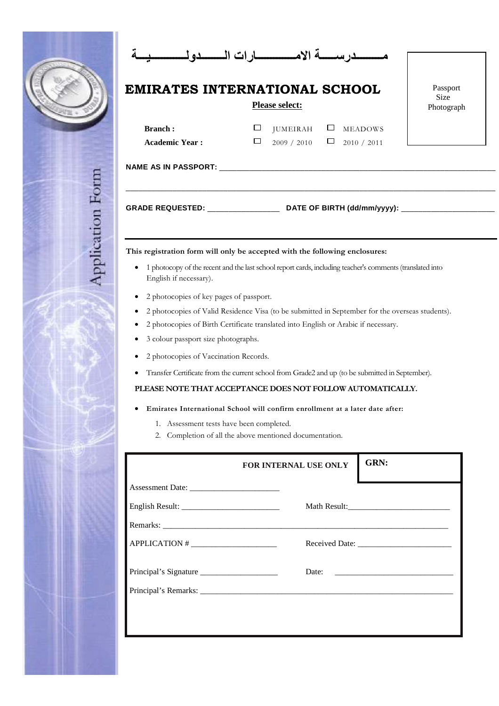|                                          |                         | ij.               |
|------------------------------------------|-------------------------|-------------------|
|                                          |                         |                   |
| <b>SECTION</b><br>Ŧ<br>١<br>n,<br>æ<br>w | ij)<br>I<br>B<br>Ħ<br>l | ١<br>羅<br>P)<br>D |
| ı                                        | Ħ<br>B                  | $\frac{1}{2}$     |
| ŋ<br>i<br>₩<br>s.<br>S,<br>I<br>D<br>ŋ   | ł<br>ı<br>h<br>us.      | B<br>ł            |
|                                          | ħ                       | H                 |

|                                         | EMIRATES INTERNATIONAL SCHOOL<br><b>Please select:</b>                                                    | Passport<br><b>Size</b><br>Photograph |  |  |
|-----------------------------------------|-----------------------------------------------------------------------------------------------------------|---------------------------------------|--|--|
| <b>Branch:</b><br><b>Academic Year:</b> | □<br>$JUMEIRAH$ $\square$<br><b>MEADOWS</b><br>$\Box$<br>2009 / 2010<br>$\Box$<br>2010 / 2011             |                                       |  |  |
|                                         |                                                                                                           |                                       |  |  |
|                                         |                                                                                                           |                                       |  |  |
|                                         | This registration form will only be accepted with the following enclosures:                               |                                       |  |  |
| English if necessary).                  | 1 photocopy of the recent and the last school report cards, including teacher's comments (translated into |                                       |  |  |
| 2 photocopies of key pages of passport. |                                                                                                           |                                       |  |  |
|                                         | 2 photocopies of Valid Residence Visa (to be submitted in September for the overseas students).           |                                       |  |  |
|                                         | 2 photocopies of Birth Certificate translated into English or Arabic if necessary.                        |                                       |  |  |
|                                         | 3 colour passport size photographs.                                                                       |                                       |  |  |

- 2 photocopies of Vaccination Records.
- Transfer Certificate from the current school from Grade2 and up (to be submitted in September).

## **PLEASE NOTE THAT ACCEPTANCE DOES NOT FOLLOW AUTOMATICALLY.**

## **Emirates International School will confirm enrollment at a later date after:**

- 1. Assessment tests have been completed.
- 2. Completion of all the above mentioned documentation.

|                       | FOR INTERNAL USE ONLY | GRN:                  |
|-----------------------|-----------------------|-----------------------|
|                       |                       |                       |
|                       |                       |                       |
|                       |                       |                       |
|                       |                       |                       |
| Principal's Signature |                       | Date: $\qquad \qquad$ |
|                       |                       |                       |
|                       |                       |                       |
|                       |                       |                       |